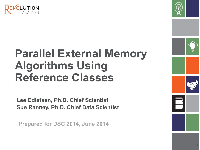



# **Parallel External Memory Algorithms Using Reference Classes**

**Lee Edlefsen, Ph.D. Chief Scientist Sue Ranney, Ph.D. Chief Data Scientist**

**Prepared for DSC 2014, June 2014**

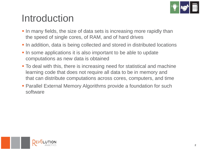

## Introduction

- In many fields, the size of data sets is increasing more rapidly than the speed of single cores, of RAM, and of hard drives
- In addition, data is being collected and stored in distributed locations
- In some applications it is also important to be able to update computations as new data is obtained
- To deal with this, there is increasing need for statistical and machine learning code that does not require all data to be in memory and that can distribute computations across cores, computers, and time
- Parallel External Memory Algorithms provide a foundation for such software

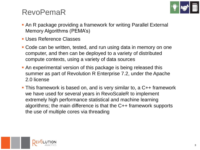

### RevoPemaR

- An R package providing a framework for writing Parallel External Memory Algorithms (PEMA's)
- Uses Reference Classes
- Code can be written, tested, and run using data in memory on one computer, and then can be deployed to a variety of distributed compute contexts, using a variety of data sources
- An experimental version of this package is being released this summer as part of Revolution R Enterprise 7.2, under the Apache 2.0 license
- This framework is based on, and is very similar to, a C++ framework we have used for several years in RevoScaleR to implement extremely high performance statistical and machine learning algorithms; the main difference is that the C++ framework supports the use of multiple cores via threading

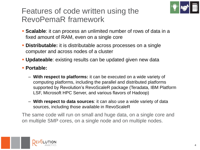

### Features of code written using the RevoPemaR framework

- **Scalable**: it can process an unlimited number of rows of data in a fixed amount of RAM, even on a single core
- **Distributable:** it is distributable across processes on a single computer and across nodes of a cluster
- **Updateable**: existing results can be updated given new data
- **Portable:** 
	- **With respect to platforms:** it can be executed on a wide variety of computing platforms, including the parallel and distributed platforms supported by Revolution's RevoScaleR package (Teradata, IBM Platform LSF, Microsoft HPC Server, and various flavors of Hadoop)
	- **With respect to data sources**: it can also use a wide variety of data sources, including those available in RevoScaleR

The same code will run on small and huge data, on a single core and on multiple SMP cores, on a single node and on multiple nodes.

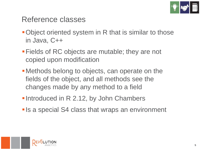

#### Reference classes

- Object oriented system in R that is similar to those in Java, C++
- Fields of RC objects are mutable; they are not copied upon modification
- Methods belong to objects, can operate on the fields of the object, and all methods see the changes made by any method to a field
- **Introduced in R 2.12, by John Chambers**
- **Is a special S4 class that wraps an environment**

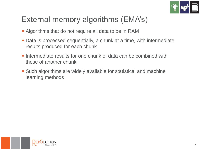

### External memory algorithms (EMA's)

- Algorithms that do not require all data to be in RAM
- Data is processed sequentially, a chunk at a time, with intermediate results produced for each chunk
- **Intermediate results for one chunk of data can be combined with** those of another chunk
- Such algorithms are widely available for statistical and machine learning methods

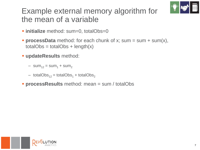

### Example external memory algorithm for the mean of a variable

- **initialize** method: sum=0, totalObs=0
- **processData** method: for each chunk of x; sum = sum + sum(x),  $totalObs = totalObs + length(x)$
- **updateResults** method:
	- $-$  sum<sub>12</sub> = sum<sub>1</sub> + sum<sub>2</sub>
	- totalObs<sub>12</sub> = totalObs<sub>1</sub> + totalObs<sub>2</sub>
- **processResults** method: mean = sum / totalObs

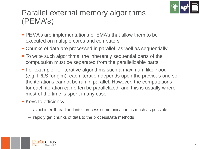

### Parallel external memory algorithms (PEMA's)

- **PEMA's are implementations of EMA's that allow them to be** executed on multiple cores and computers
- Chunks of data are processed in parallel, as well as sequentially
- To write such algorithms, the inherently sequential parts of the computation must be separated from the parallelizable parts
- For example, for iterative algorithms such a maximum likelihood (e.g. IRLS for glm), each iteration depends upon the previous one so the iterations cannot be run in parallel. However, the computations for each iteration can often be parallelized, and this is usually where most of the time is spent in any case.
- **Keys to efficiency** 
	- avoid inter-thread and inter-process communication as much as possible
	- rapidly get chunks of data to the processData methods

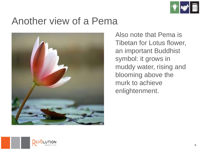

## Another view of a Pema



Also note that Pema is Tibetan for Lotus flower, an important Buddhist symbol: it grows in muddy water, rising and blooming above the murk to achieve enlightenment.

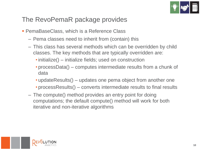

#### The RevoPemaR package provides

- **PemaBaseClass, which is a Reference Class** 
	- Pema classes need to inherit from (contain) this
	- This class has several methods which can be overridden by child classes. The key methods that are typically overridden are:
		- initialize() initialize fields; used on construction
		- processData() computes intermediate results from a chunk of data
		- updateResults() updates one pema object from another one
		- processResults() converts intermediate results to final results
	- The compute() method provides an entry point for doing computations; the default compute() method will work for both iterative and non-iterative algorithms

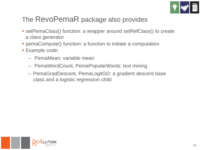

#### The RevoPemaR package also provides

- setPemaClass() function: a wrapper around setRefClass() to create a class generator
- pemaCompute() function: a function to initiate a computation
- Example code:
	- PemaMean: variable mean
	- PemaWordCount, PemaPopularWords: text mining
	- PemaGradDescent, PemaLogitGD: a gradient descent base class and a logistic regression child

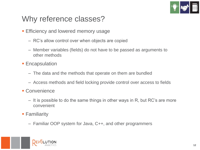

### Why reference classes?

- **Efficiency and lowered memory usage** 
	- RC's allow control over when objects are copied
	- Member variables (fields) do not have to be passed as arguments to other methods
- **Encapsulation** 
	- The data and the methods that operate on them are bundled
	- Access methods and field locking provide control over access to fields
- **Convenience** 
	- It is possible to do the same things in other ways in R, but RC's are more convenient
- **Familiarity** 
	- Familiar OOP system for Java, C++, and other programmers

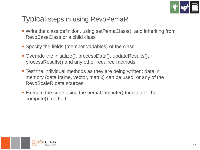

#### Typical steps in using RevoPemaR

- Write the class definition, using setPemaClass(), and inheriting from RevoBaseClass or a child class
- Specify the fields (member variables) of the class
- Override the initialize(), processData(), updateResults(), processResults() and any other required methods
- **Test the individual methods as they are being written; data in** memory (data frame, vector, matrix) can be used, or any of the RevoScaleR data sources
- Execute the code using the pemaCompute() function or the compute() method

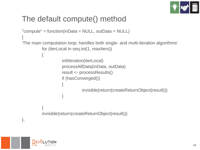

### The default compute() method

```
"compute" = function(inData = NULL, outData = NULL)
{
'The main computation loop; handles both single- and multi-iteration algorithms'
          for (iterLocal in seq.int(1, maxIters))
          {
                     initIteration(iterLocal)
                     processAllData(inData, outData) 
                     result <- processResults()
                     if (hasConverged()) 
                     {
                               invisible(return(createReturnObject(result)))
                     }
          }
          invisible(return(createReturnObject(result)))
},
```
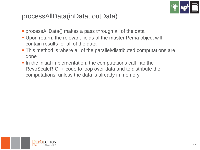

#### processAllData(inData, outData)

- processAllData() makes a pass through all of the data
- Upon return, the relevant fields of the master Pema object will contain results for all of the data
- This method is where all of the parallel/distributed computations are done
- In the initial implementation, the computations call into the RevoScaleR C++ code to loop over data and to distribute the computations, unless the data is already in memory

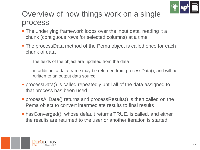

### Overview of how things work on a single process

- The underlying framework loops over the input data, reading it a chunk (contiguous rows for selected columns) at a time
- The processData method of the Pema object is called once for each chunk of data
	- the fields of the object are updated from the data
	- in addition, a data frame may be returned from processData(), and will be written to an output data source
- processData() is called repeatedly until all of the data assigned to that process has been used
- processAllData() returns and processResults() is then called on the Pema object to convert intermediate results to final results
- hasConverged(), whose default returns TRUE, is called, and either the results are returned to the user or another iteration is started

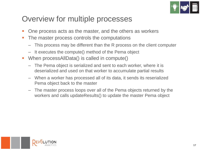

### Overview for multiple processes

- One process acts as the master, and the others as workers
- The master process controls the computations
	- This process may be different than the R process on the client computer
	- It executes the compute() method of the Pema object
- When processAllData() is called in compute()
	- The Pema object is serialized and sent to each worker, where it is deserialized and used on that worker to accumulate partial results
	- When a worker has processed all of its data, it sends its reserialized Pema object back to the master
	- The master process loops over all of the Pema objects returned by the workers and calls updateResults() to update the master Pema object

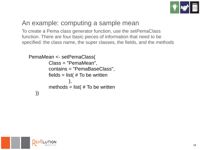

#### An example: computing a sample mean

To create a Pema class generator function, use the setPemaClass function. There are four basic pieces of information that need to be specified: the class name, the super classes, the fields, and the methods

```
PemaMean <- setPemaClass(
        Class = "PemaMean", 
        contains = "PemaBaseClass",
        fields = list(# To be written
                 ),
        methods = list(# To be written
   ))
```
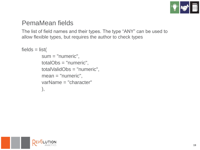

#### PemaMean fields

The list of field names and their types. The type "ANY" can be used to allow flexible types, but requires the author to check types

```
fields = list(sum = "numeric",
         totalObs = "numeric",
         totalValidObs = "numeric",
         mean = "numeric",
         varName = "character"
         ),
```
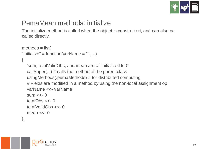

#### PemaMean methods: initialize

The initialize method is called when the object is constructed, and can also be called directly.

```
methods = list("initialize" = function(varName = "", ...)
{
  'sum, totalValidObs, and mean are all initialized to 0'
  callSuper(...) # calls the method of the parent class
  usingMethods(.pemaMethods) # for distributed computing
  # Fields are modified in a method by using the non-local assignment op
  varName <<- varName
  sum <<-0totalObs <<- 0
  totalValidObs <<- 0
  mean <<-0},
```
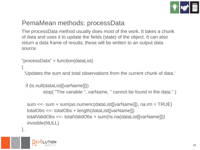

#### PemaMean methods: processData

The processData method usually does most of the work. It takes a chunk of data and uses it to update the fields (state) of the object. It can also return a data frame of results; these will be written to an output data source.

```
"processData" = function(dataList)
```

```
{
```
'Updates the sum and total observations from the current chunk of data.'

if (is.null(dataList[[varName]])) stop( "The variable ", varName, " cannot be found in the data." )

```
sum <<- sum + sum(as.numeric(dataList[[varName]]), na.rm = TRUE)
totalObs <<- totalObs + length(dataList[[varName]])
totalValidObs <<- totalValidObs + sum(!is.na(dataList[[varName]]))
invisible(NULL)
```


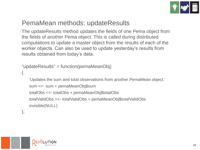

#### PemaMean methods: updateResults

The updateResults method updates the fields of one Pema object from the fields of another Pema object. This is called during distributed computations to update a master object from the results of each of the worker objects. Can also be used to update yesterday's results from results obtained from today's data.

```
"updateResults" = function(pemaMeanObj)
```

```
{
```
'Updates the sum and total observations from another PemaMean object.'

```
sum <<- sum + pemaMeanObj$sum
```

```
totalObs <<- totalObs + pemaMeanObj$totalObs
```

```
totalValidObs <<- totalValidObs + pemaMeanObj$totalValidObs
invisible(NULL)
```
},

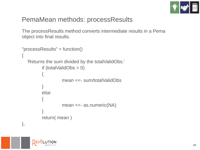

#### PemaMean methods: processResults

The processResults method converts intermediate results in a Pema object into final results.

```
"processResults" = function()
{
  'Returns the sum divided by the totalValidObs.'
         if (totalValidObs > 0)
          {
                   mean <<- sum/totalValidObs
          }
         else
          {
                   mean <<- as.numeric(NA)
          }
         return( mean )
},
```